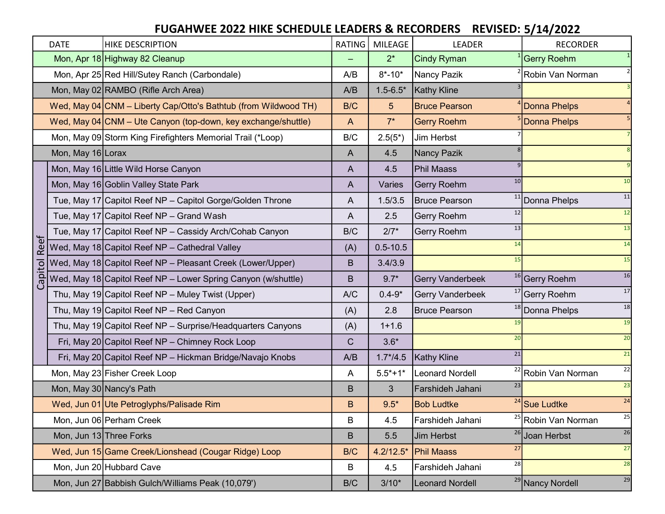|             | <b>DATE</b>             | <b>HIKE DESCRIPTION</b>                                         | RATING       | MILEAGE       | <b>LEADER</b>            | <b>RECORDER</b>                             |
|-------------|-------------------------|-----------------------------------------------------------------|--------------|---------------|--------------------------|---------------------------------------------|
|             |                         | Mon, Apr 18 Highway 82 Cleanup                                  |              | $2^*$         | <b>Cindy Ryman</b>       | <b>Gerry Roehm</b>                          |
|             |                         | Mon, Apr 25 Red Hill/Sutey Ranch (Carbondale)                   | A/B          | $8* - 10*$    | Nancy Pazik              | Robin Van Norman                            |
|             |                         | Mon, May 02 RAMBO (Rifle Arch Area)                             | A/B          | $1.5 - 6.5*$  | <b>Kathy Kline</b>       |                                             |
|             |                         | Wed, May 04 CNM - Liberty Cap/Otto's Bathtub (from Wildwood TH) | B/C          | 5             | <b>Bruce Pearson</b>     | <b>Donna Phelps</b>                         |
|             |                         | Wed, May 04 CNM - Ute Canyon (top-down, key exchange/shuttle)   | $\mathsf{A}$ | $7^*$         | <b>Gerry Roehm</b>       | <b>Donna Phelps</b>                         |
|             |                         | Mon, May 09 Storm King Firefighters Memorial Trail (*Loop)      | B/C          | $2.5(5^*)$    | Jim Herbst               |                                             |
|             | Mon, May 16 Lorax       |                                                                 | A            | 4.5           | <b>Nancy Pazik</b>       |                                             |
|             |                         | Mon, May 16 Little Wild Horse Canyon                            | A            | 4.5           | <b>Phil Maass</b>        |                                             |
|             |                         | Mon, May 16 Goblin Valley State Park                            | A            | Varies        | 10<br>Gerry Roehm        | 10                                          |
|             |                         | Tue, May 17 Capitol Reef NP - Capitol Gorge/Golden Throne       | A            | 1.5/3.5       | <b>Bruce Pearson</b>     | 11<br><sup>11</sup> Donna Phelps            |
|             |                         | Tue, May 17 Capitol Reef NP - Grand Wash                        | A            | 2.5           | 12<br>Gerry Roehm        | 12                                          |
|             |                         | Tue, May 17 Capitol Reef NP - Cassidy Arch/Cohab Canyon         | B/C          | $2/7*$        | 13<br>Gerry Roehm        | 13                                          |
| <b>Reef</b> |                         | Wed, May 18 Capitol Reef NP - Cathedral Valley                  | (A)          | $0.5 - 10.5$  | 14                       | 14                                          |
|             |                         | Wed, May 18 Capitol Reef NP - Pleasant Creek (Lower/Upper)      | B            | 3.4/3.9       | 15                       | $\overline{15}$                             |
| Capitol     |                         | Wed, May 18 Capitol Reef NP - Lower Spring Canyon (w/shuttle)   | B            | $9.7*$        | <b>Gerry Vanderbeek</b>  | 16<br><sup>16</sup> Gerry Roehm             |
|             |                         | Thu, May 19 Capitol Reef $NP$ – Muley Twist (Upper)             | A/C          | $0.4 - 9*$    | Gerry Vanderbeek         | 17<br><sup>17</sup> Gerry Roehm             |
|             |                         | Thu, May 19 Capitol Reef $NP$ – Red Canyon                      | (A)          | 2.8           | <b>Bruce Pearson</b>     | 18<br><sup>18</sup> Donna Phelps            |
|             |                         | Thu, May 19 Capitol Reef NP - Surprise/Headquarters Canyons     | (A)          | $1 + 1.6$     | 19                       | 19                                          |
|             |                         | Fri, May 20 Capitol Reef NP - Chimney Rock Loop                 | C            | $3.6*$        | 20                       | 20                                          |
|             |                         | Fri, May 20 Capitol Reef NP - Hickman Bridge/Navajo Knobs       | A/B          | $1.7^{*}/4.5$ | 21<br><b>Kathy Kline</b> | 21                                          |
|             |                         | Mon, May 23 Fisher Creek Loop                                   | A            | $5.5*+1*$     | <b>Leonard Nordell</b>   | $22\,$<br><sup>22</sup> Robin Van Norman    |
|             |                         | Mon, May 30 Nancy's Path                                        | B            | 3             | 23<br>Farshideh Jahani   | 23                                          |
|             |                         | Wed, Jun 01 Ute Petroglyphs/Palisade Rim                        | B            | $9.5*$        | <b>Bob Ludtke</b>        | $\overline{24}$<br><sup>24</sup> Sue Ludtke |
|             |                         | Mon, Jun 06 Perham Creek                                        | B            | 4.5           | Farshideh Jahani         | 25<br><sup>25</sup> Robin Van Norman        |
|             | Mon, Jun 13 Three Forks |                                                                 | B            | 5.5           | 26<br><b>Jim Herbst</b>  | 26<br><b>Joan Herbst</b>                    |
|             |                         | Wed, Jun 15 Game Creek/Lionshead (Cougar Ridge) Loop            | B/C          | $4.2/12.5*$   | 27<br><b>Phil Maass</b>  | 27                                          |
|             |                         | Mon, Jun 20 Hubbard Cave                                        | B            | 4.5           | 28<br>Farshideh Jahani   | 28                                          |
|             |                         | Mon, Jun 27 Babbish Gulch/Williams Peak (10,079')               | B/C          | $3/10*$       | <b>Leonard Nordell</b>   | 29<br><sup>29</sup> Nancy Nordell           |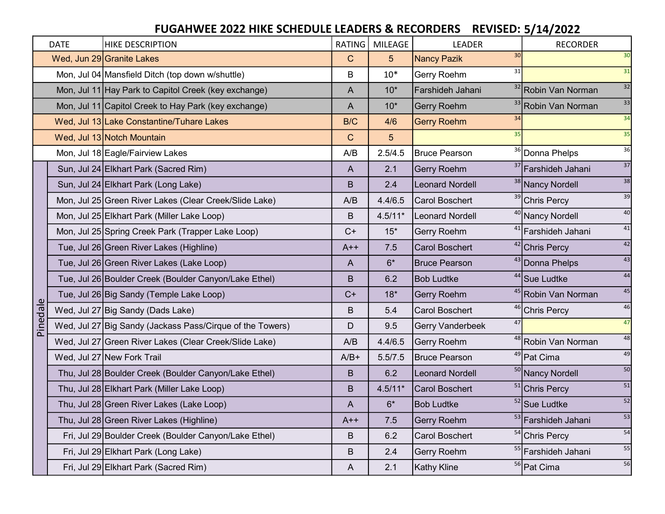|          | <b>DATE</b> | <b>HIKE DESCRIPTION</b>                                   | RATING         | <b>MILEAGE</b> | <b>LEADER</b>            | <b>RECORDER</b>                          |
|----------|-------------|-----------------------------------------------------------|----------------|----------------|--------------------------|------------------------------------------|
|          |             | Wed, Jun 29 Granite Lakes                                 | $\mathbf C$    | 5              | 30<br><b>Nancy Pazik</b> | 30                                       |
|          |             | Mon, Jul 04 Mansfield Ditch (top down w/shuttle)          | B              | $10*$          | 31<br>Gerry Roehm        | 31                                       |
|          |             | Mon, Jul 11 Hay Park to Capitol Creek (key exchange)      | $\overline{A}$ | $10*$          | Farshideh Jahani         | 32<br><sup>32</sup> Robin Van Norman     |
|          |             | Mon, Jul 11 Capitol Creek to Hay Park (key exchange)      | $\overline{A}$ | $10*$          | <b>Gerry Roehm</b>       | 33<br><sup>33</sup> Robin Van Norman     |
|          |             | Wed, Jul 13 Lake Constantine/Tuhare Lakes                 | B/C            | 4/6            | 34<br><b>Gerry Roehm</b> | 34                                       |
|          |             | Wed, Jul 13 Notch Mountain                                | $\mathbf C$    | 5              | 35                       | 35                                       |
|          |             | Mon, Jul 18 Eagle/Fairview Lakes                          | A/B            | 2.5/4.5        | <b>Bruce Pearson</b>     | 36<br><sup>36</sup> Donna Phelps         |
|          |             | Sun, Jul 24 Elkhart Park (Sacred Rim)                     | A              | 2.1            | Gerry Roehm              | 37<br><sup>37</sup> Farshideh Jahani     |
|          |             | Sun, Jul 24 Elkhart Park (Long Lake)                      | B              | 2.4            | <b>Leonard Nordell</b>   | 38<br><sup>38</sup> Nancy Nordell        |
|          |             | Mon, Jul 25 Green River Lakes (Clear Creek/Slide Lake)    | A/B            | 4.4/6.5        | <b>Carol Boschert</b>    | 39<br><sup>39</sup> Chris Percy          |
|          |             | Mon, Jul 25 Elkhart Park (Miller Lake Loop)               | B              | $4.5/11*$      | <b>Leonard Nordell</b>   | $40\,$<br><sup>40</sup> Nancy Nordell    |
|          |             | Mon, Jul 25 Spring Creek Park (Trapper Lake Loop)         | $C+$           | $15*$          | Gerry Roehm              | 41<br><sup>41</sup> Farshideh Jahani     |
|          |             | Tue, Jul 26 Green River Lakes (Highline)                  | $A++$          | 7.5            | <b>Carol Boschert</b>    | 42<br><sup>42</sup> Chris Percy          |
|          |             | Tue, Jul 26 Green River Lakes (Lake Loop)                 | $\overline{A}$ | $6*$           | <b>Bruce Pearson</b>     | 43<br>43 Donna Phelps                    |
|          |             | Tue, Jul 26 Boulder Creek (Boulder Canyon/Lake Ethel)     | B              | 6.2            | <b>Bob Ludtke</b>        | 44<br><sup>44</sup> Sue Ludtke           |
|          |             | Tue, Jul 26 Big Sandy (Temple Lake Loop)                  | $C+$           | $18*$          | Gerry Roehm              | 45<br><sup>45</sup> Robin Van Norman     |
| Pinedale |             | Wed, Jul 27 Big Sandy (Dads Lake)                         | B              | 5.4            | <b>Carol Boschert</b>    | 46<br><sup>46</sup> Chris Percy          |
|          |             | Wed, Jul 27 Big Sandy (Jackass Pass/Cirque of the Towers) | D              | 9.5            | 47<br>Gerry Vanderbeek   | 47                                       |
|          |             | Wed, Jul 27 Green River Lakes (Clear Creek/Slide Lake)    | A/B            | 4.4/6.5        | Gerry Roehm              | 48<br><sup>48</sup> Robin Van Norman     |
|          |             | Wed, Jul 27 New Fork Trail                                | $A/B+$         | 5.5/7.5        | <b>Bruce Pearson</b>     | 49<br><sup>49</sup> Pat Cima             |
|          |             | Thu, Jul 28 Boulder Creek (Boulder Canyon/Lake Ethel)     | B              | 6.2            | <b>Leonard Nordell</b>   | 50<br><sup>50</sup> Nancy Nordell        |
|          |             | Thu, Jul 28 Elkhart Park (Miller Lake Loop)               | B              | $4.5/11*$      | <b>Carol Boschert</b>    | ${\bf 51}$<br><sup>51</sup> Chris Percy  |
|          |             | Thu, Jul 28 Green River Lakes (Lake Loop)                 | $\overline{A}$ | $6*$           | <b>Bob Ludtke</b>        | 52<br><sup>52</sup> Sue Ludtke           |
|          |             | Thu, Jul 28 Green River Lakes (Highline)                  | $A++$          | 7.5            | Gerry Roehm              | 53<br><sup>53</sup> Farshideh Jahani     |
|          |             | Fri, Jul 29 Boulder Creek (Boulder Canyon/Lake Ethel)     | B              | 6.2            | <b>Carol Boschert</b>    | 54<br><sup>54</sup> Chris Percy          |
|          |             | Fri, Jul 29 Elkhart Park (Long Lake)                      | $\mathsf B$    | 2.4            | Gerry Roehm              | $55\,$<br><sup>55</sup> Farshideh Jahani |
|          |             | Fri, Jul 29 Elkhart Park (Sacred Rim)                     | $\mathsf{A}$   | 2.1            | <b>Kathy Kline</b>       | 56<br><sup>56</sup> Pat Cima             |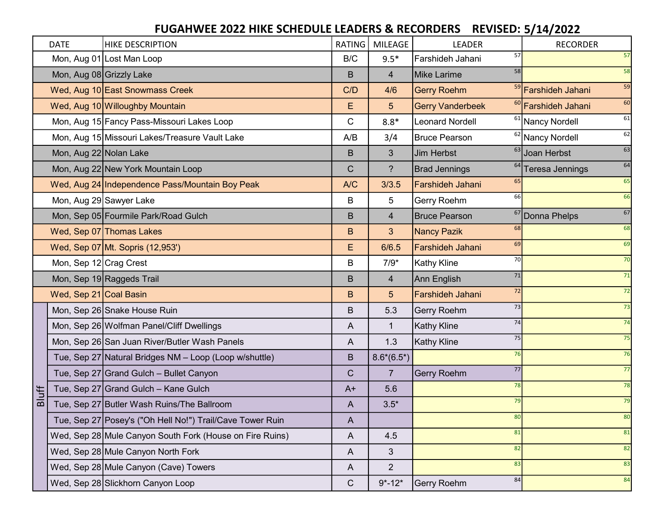|              | <b>DATE</b>              | <b>HIKE DESCRIPTION</b>                                   | RATING      | <b>MILEAGE</b>  | <b>LEADER</b>            | <b>RECORDER</b>                      |
|--------------|--------------------------|-----------------------------------------------------------|-------------|-----------------|--------------------------|--------------------------------------|
|              |                          | Mon, Aug 01 Lost Man Loop                                 | B/C         | $9.5*$          | 57<br>Farshideh Jahani   | 57                                   |
|              | Mon, Aug 08 Grizzly Lake |                                                           | B           | 4               | 58<br><b>Mike Larime</b> | 58                                   |
|              |                          | Wed, Aug 10 East Snowmass Creek                           | C/D         | 4/6             | <b>Gerry Roehm</b>       | 59<br><sup>59</sup> Farshideh Jahani |
|              |                          | Wed, Aug 10 Willoughby Mountain                           | Е           | 5 <sup>5</sup>  | <b>Gerry Vanderbeek</b>  | 60<br><sup>60</sup> Farshideh Jahani |
|              |                          | Mon, Aug 15 Fancy Pass-Missouri Lakes Loop                | C           | $8.8*$          | <b>Leonard Nordell</b>   | 61<br><sup>61</sup> Nancy Nordell    |
|              |                          | Mon, Aug 15 Missouri Lakes/Treasure Vault Lake            | A/B         | 3/4             | <b>Bruce Pearson</b>     | 62<br>$\sqrt{62}$ Nancy Nordell      |
|              | Mon, Aug 22 Nolan Lake   |                                                           | B           | 3               | 63<br><b>Jim Herbst</b>  | 63<br>Joan Herbst                    |
|              |                          | Mon, Aug 22 New York Mountain Loop                        | C           | ?               | <b>Brad Jennings</b>     | 64<br><sup>64</sup> Teresa Jennings  |
|              |                          | Wed, Aug 24 Independence Pass/Mountain Boy Peak           | A/C         | 3/3.5           | 65<br>Farshideh Jahani   | 65                                   |
|              |                          | Mon, Aug 29 Sawyer Lake                                   | B           | 5               | 66<br>Gerry Roehm        | 66                                   |
|              |                          | Mon, Sep 05 Fourmile Park/Road Gulch                      | B           | $\overline{4}$  | <b>Bruce Pearson</b>     | 67<br><sup>67</sup> Donna Phelps     |
|              |                          | Wed, Sep 07 Thomas Lakes                                  | B           | 3 <sup>5</sup>  | 68<br><b>Nancy Pazik</b> | 68                                   |
|              |                          | Wed, Sep 07 Mt. Sopris (12,953')                          | E           | 6/6.5           | 69<br>Farshideh Jahani   | 69                                   |
|              | Mon, Sep 12 Crag Crest   |                                                           | B           | $7/9*$          | 70<br><b>Kathy Kline</b> | 70                                   |
|              |                          | Mon, Sep 19 Raggeds Trail                                 | B           | $\overline{4}$  | 71<br>Ann English        | 71                                   |
|              | Wed, Sep 21 Coal Basin   |                                                           | B           | $5\phantom{.}$  | 72<br>Farshideh Jahani   | 72                                   |
|              |                          | Mon, Sep 26 Snake House Ruin                              | B           | 5.3             | 73<br>Gerry Roehm        | 73                                   |
|              |                          | Mon, Sep 26 Wolfman Panel/Cliff Dwellings                 | A           |                 | 74<br><b>Kathy Kline</b> | 74                                   |
|              |                          | Mon, Sep 26 San Juan River/Butler Wash Panels             | A           | 1.3             | 75<br><b>Kathy Kline</b> | 75                                   |
|              |                          | Tue, Sep 27 Natural Bridges NM - Loop (Loop w/shuttle)    | B           | $8.6*(6.5^{*})$ | 76                       | 76                                   |
|              |                          | Tue, Sep 27 Grand Gulch - Bullet Canyon                   | $\mathsf C$ | $\overline{7}$  | 77<br><b>Gerry Roehm</b> | 77                                   |
| <b>Bluff</b> |                          | Tue, Sep 27 Grand Gulch - Kane Gulch                      | $A+$        | 5.6             | 78                       | 78                                   |
|              |                          | Tue, Sep 27 Butler Wash Ruins/The Ballroom                | A           | $3.5*$          | 79                       | 79                                   |
|              |                          | Tue, Sep 27 Posey's ("Oh Hell No!") Trail/Cave Tower Ruin | A           |                 | 80                       | 80                                   |
|              |                          | Wed, Sep 28 Mule Canyon South Fork (House on Fire Ruins)  | A           | 4.5             | 81                       | 81                                   |
|              |                          | Wed, Sep 28 Mule Canyon North Fork                        | A           | 3               | 82                       | 82                                   |
|              |                          | Wed, Sep 28 Mule Canyon (Cave) Towers                     | A           | $\overline{2}$  | 83                       | 83                                   |
|              |                          | Wed, Sep 28 Slickhorn Canyon Loop                         | $\mathsf C$ | $9* - 12*$      | 84<br>Gerry Roehm        | 84                                   |